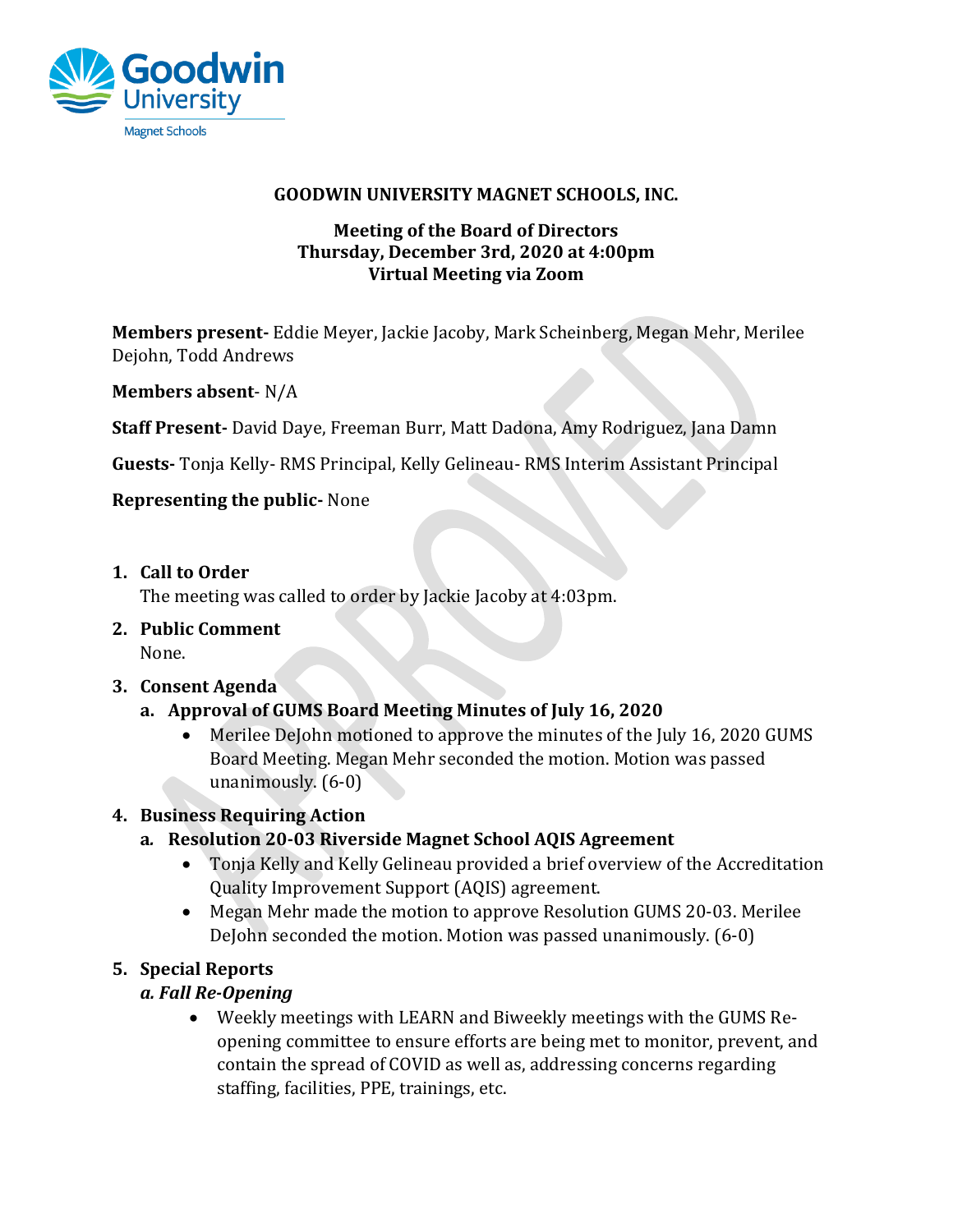

#### **GOODWIN UNIVERSITY MAGNET SCHOOLS, INC.**

#### **Meeting of the Board of Directors Thursday, December 3rd, 2020 at 4:00pm Virtual Meeting via Zoom**

**Members present-** Eddie Meyer, Jackie Jacoby, Mark Scheinberg, Megan Mehr, Merilee Dejohn, Todd Andrews

### **Members absent**- N/A

**Staff Present-** David Daye, Freeman Burr, Matt Dadona, Amy Rodriguez, Jana Damn

**Guests-** Tonja Kelly- RMS Principal, Kelly Gelineau- RMS Interim Assistant Principal

#### **Representing the public-** None

**1. Call to Order**

The meeting was called to order by Jackie Jacoby at 4:03pm.

**2. Public Comment** None.

#### **3. Consent Agenda**

- **a. Approval of GUMS Board Meeting Minutes of July 16, 2020**
	- Merilee DeJohn motioned to approve the minutes of the July 16, 2020 GUMS Board Meeting. Megan Mehr seconded the motion. Motion was passed unanimously. (6-0)

### **4. Business Requiring Action**

- **a***.* **Resolution 20-03 Riverside Magnet School AQIS Agreement**
	- Tonja Kelly and Kelly Gelineau provided a brief overview of the Accreditation Quality Improvement Support (AQIS) agreement.
	- Megan Mehr made the motion to approve Resolution GUMS 20-03. Merilee DeJohn seconded the motion. Motion was passed unanimously. (6-0)

### **5. Special Reports**

### *a. Fall Re-Opening*

• Weekly meetings with LEARN and Biweekly meetings with the GUMS Reopening committee to ensure efforts are being met to monitor, prevent, and contain the spread of COVID as well as, addressing concerns regarding staffing, facilities, PPE, trainings, etc.